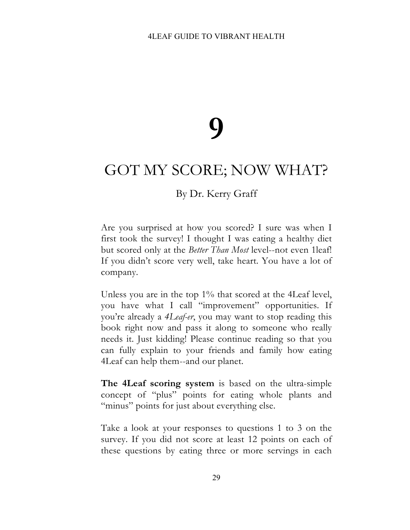## **9**

## GOT MY SCORE; NOW WHAT?

## By Dr. Kerry Graff

Are you surprised at how you scored? I sure was when I first took the survey! I thought I was eating a healthy diet but scored only at the *Better Than Most* level--not even 1leaf! If you didn't score very well, take heart. You have a lot of company.

Unless you are in the top 1% that scored at the 4Leaf level, you have what I call "improvement" opportunities. If you're already a *4Leaf-er*, you may want to stop reading this book right now and pass it along to someone who really needs it. Just kidding! Please continue reading so that you can fully explain to your friends and family how eating 4Leaf can help them--and our planet.

**The 4Leaf scoring system** is based on the ultra-simple concept of "plus" points for eating whole plants and "minus" points for just about everything else.

Take a look at your responses to questions 1 to 3 on the survey. If you did not score at least 12 points on each of these questions by eating three or more servings in each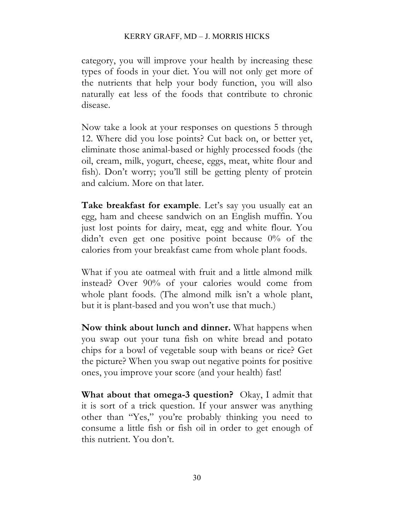category, you will improve your health by increasing these types of foods in your diet. You will not only get more of the nutrients that help your body function, you will also naturally eat less of the foods that contribute to chronic disease.

Now take a look at your responses on questions 5 through 12. Where did you lose points? Cut back on, or better yet, eliminate those animal-based or highly processed foods (the oil, cream, milk, yogurt, cheese, eggs, meat, white flour and fish). Don't worry; you'll still be getting plenty of protein and calcium. More on that later.

**Take breakfast for example**. Let's say you usually eat an egg, ham and cheese sandwich on an English muffin. You just lost points for dairy, meat, egg and white flour. You didn't even get one positive point because 0% of the calories from your breakfast came from whole plant foods.

What if you ate oatmeal with fruit and a little almond milk instead? Over 90% of your calories would come from whole plant foods. (The almond milk isn't a whole plant, but it is plant-based and you won't use that much.)

**Now think about lunch and dinner.** What happens when you swap out your tuna fish on white bread and potato chips for a bowl of vegetable soup with beans or rice? Get the picture? When you swap out negative points for positive ones, you improve your score (and your health) fast!

**What about that omega-3 question?** Okay, I admit that it is sort of a trick question. If your answer was anything other than "Yes," you're probably thinking you need to consume a little fish or fish oil in order to get enough of this nutrient. You don't.